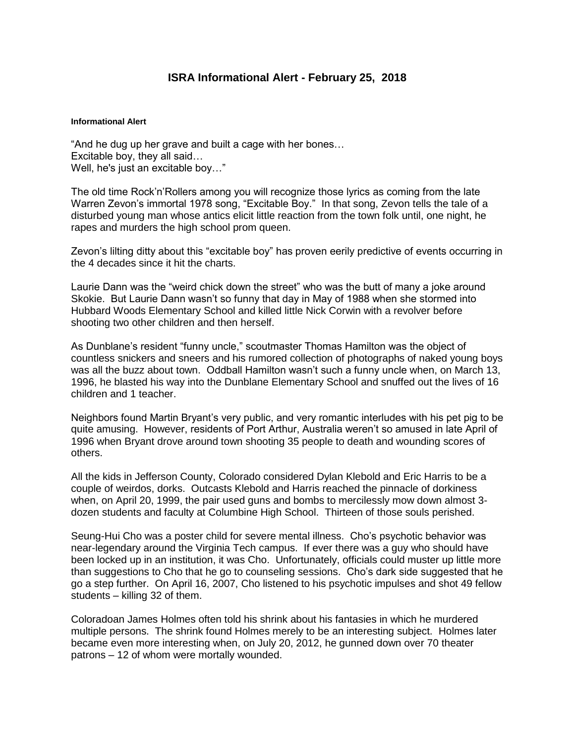## **ISRA Informational Alert - February 25, 2018**

## **Informational Alert**

"And he dug up her grave and built a cage with her bones… Excitable boy, they all said… Well, he's just an excitable boy…"

The old time Rock'n'Rollers among you will recognize those lyrics as coming from the late Warren Zevon's immortal 1978 song, "Excitable Boy." In that song, Zevon tells the tale of a disturbed young man whose antics elicit little reaction from the town folk until, one night, he rapes and murders the high school prom queen.

Zevon's lilting ditty about this "excitable boy" has proven eerily predictive of events occurring in the 4 decades since it hit the charts.

Laurie Dann was the "weird chick down the street" who was the butt of many a joke around Skokie. But Laurie Dann wasn't so funny that day in May of 1988 when she stormed into Hubbard Woods Elementary School and killed little Nick Corwin with a revolver before shooting two other children and then herself.

As Dunblane's resident "funny uncle," scoutmaster Thomas Hamilton was the object of countless snickers and sneers and his rumored collection of photographs of naked young boys was all the buzz about town. Oddball Hamilton wasn't such a funny uncle when, on March 13, 1996, he blasted his way into the Dunblane Elementary School and snuffed out the lives of 16 children and 1 teacher.

Neighbors found Martin Bryant's very public, and very romantic interludes with his pet pig to be quite amusing. However, residents of Port Arthur, Australia weren't so amused in late April of 1996 when Bryant drove around town shooting 35 people to death and wounding scores of others.

All the kids in Jefferson County, Colorado considered Dylan Klebold and Eric Harris to be a couple of weirdos, dorks. Outcasts Klebold and Harris reached the pinnacle of dorkiness when, on April 20, 1999, the pair used guns and bombs to mercilessly mow down almost 3 dozen students and faculty at Columbine High School. Thirteen of those souls perished.

Seung-Hui Cho was a poster child for severe mental illness. Cho's psychotic behavior was near-legendary around the Virginia Tech campus. If ever there was a guy who should have been locked up in an institution, it was Cho. Unfortunately, officials could muster up little more than suggestions to Cho that he go to counseling sessions. Cho's dark side suggested that he go a step further. On April 16, 2007, Cho listened to his psychotic impulses and shot 49 fellow students – killing 32 of them.

Coloradoan James Holmes often told his shrink about his fantasies in which he murdered multiple persons. The shrink found Holmes merely to be an interesting subject. Holmes later became even more interesting when, on July 20, 2012, he gunned down over 70 theater patrons – 12 of whom were mortally wounded.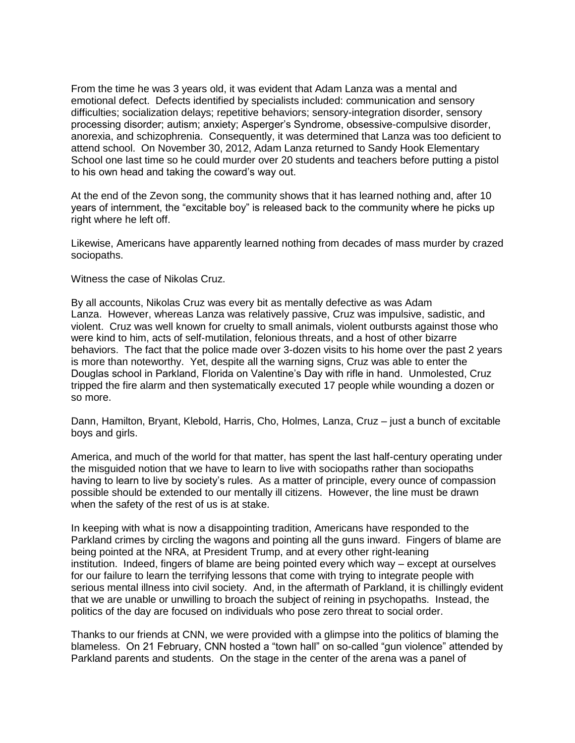From the time he was 3 years old, it was evident that Adam Lanza was a mental and emotional defect. Defects identified by specialists included: communication and sensory difficulties; socialization delays; repetitive behaviors; sensory-integration disorder, sensory processing disorder; autism; anxiety; Asperger's Syndrome, obsessive-compulsive disorder, anorexia, and schizophrenia. Consequently, it was determined that Lanza was too deficient to attend school. On November 30, 2012, Adam Lanza returned to Sandy Hook Elementary School one last time so he could murder over 20 students and teachers before putting a pistol to his own head and taking the coward's way out.

At the end of the Zevon song, the community shows that it has learned nothing and, after 10 years of internment, the "excitable boy" is released back to the community where he picks up right where he left off.

Likewise, Americans have apparently learned nothing from decades of mass murder by crazed sociopaths.

Witness the case of Nikolas Cruz.

By all accounts, Nikolas Cruz was every bit as mentally defective as was Adam Lanza. However, whereas Lanza was relatively passive, Cruz was impulsive, sadistic, and violent. Cruz was well known for cruelty to small animals, violent outbursts against those who were kind to him, acts of self-mutilation, felonious threats, and a host of other bizarre behaviors. The fact that the police made over 3-dozen visits to his home over the past 2 years is more than noteworthy. Yet, despite all the warning signs, Cruz was able to enter the Douglas school in Parkland, Florida on Valentine's Day with rifle in hand. Unmolested, Cruz tripped the fire alarm and then systematically executed 17 people while wounding a dozen or so more.

Dann, Hamilton, Bryant, Klebold, Harris, Cho, Holmes, Lanza, Cruz – just a bunch of excitable boys and girls.

America, and much of the world for that matter, has spent the last half-century operating under the misguided notion that we have to learn to live with sociopaths rather than sociopaths having to learn to live by society's rules. As a matter of principle, every ounce of compassion possible should be extended to our mentally ill citizens. However, the line must be drawn when the safety of the rest of us is at stake.

In keeping with what is now a disappointing tradition, Americans have responded to the Parkland crimes by circling the wagons and pointing all the guns inward. Fingers of blame are being pointed at the NRA, at President Trump, and at every other right-leaning institution. Indeed, fingers of blame are being pointed every which way – except at ourselves for our failure to learn the terrifying lessons that come with trying to integrate people with serious mental illness into civil society. And, in the aftermath of Parkland, it is chillingly evident that we are unable or unwilling to broach the subject of reining in psychopaths. Instead, the politics of the day are focused on individuals who pose zero threat to social order.

Thanks to our friends at CNN, we were provided with a glimpse into the politics of blaming the blameless. On 21 February, CNN hosted a "town hall" on so-called "gun violence" attended by Parkland parents and students. On the stage in the center of the arena was a panel of